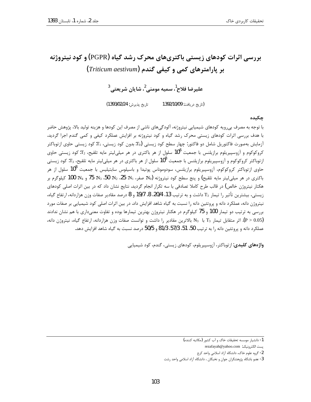# بررسی اثرات کودهای زیستی باکتریهای محرک رشد گیاه (PGPR) و کود نیتروژنه بر پارامترهای کمی و کیفی گندم (Triticum aestivum)

عليرضا فلاح<sup>1</sup>، سميه مومنے <sup>2</sup>، شايان شريعتے، <sup>3</sup>

تاريخ پذيرش: 1393/02/24) (تا, یخ د, بافت: 1392/10/09

جكىدە

با توجه به مصرف بی٫ویه کودهای شیمیایی نیتروژنه، آلودگیهای ناشی از مصرف این کودها و هزینه تولید بالا، پژوهش حاضر با هدف بررسی اثرات کودهای زیستی محرک رشد گیاه و کود نیتروژنه بر افزایش عملکرد کیفی و کمی گندم اجرا گردید. آزمایش بهصورت فاکتوریل شامل دو فاکتور: چهار سطح کود زیستی (T0:بدون کود زیستی، T1: کود زیستی حاوی ازتوباکتر کروکوکوم و آزوسپیریلوم برازیلنس با جمعیت 10<sup>6</sup> سلول از هر باکتری در هر میلیلیتر مایه تلقیح، T2:کود زیستی حاوی ازتوباکتر کروکوکوم و آزوسپیریلوم برازیلنس با جمعیت 10<sup>8</sup> سلول از هر باکتری در هر میلیلیتر مایه تلقیح، T3: کود زیستی حاوی از توباکتر کروکوکوم، آزوسپیریلوم برازیلنس، سودوموناس پوتیدا و باسیلوس سابتیلیس با جمعیت 10<sup>8</sup> سلول از هر باكترى در هر ميلي ليتر مايه تلقيح) و پنج سطح كود نيتروژنه (N<sub>0</sub>: صفر، N<sub>1</sub>: 25، N<sub>2</sub>: 50، N<sub>3</sub>: 75 و N4: 100 كيلوگرم بر هکتار نیتروژن خالص) در قالب طرح کاملا تصادفی با سه تکرار انجام گردید. نتایج نشان داد که در بین اثرات اصلی کودهای زيستي، بيشترين تأثير را تيمار T3 داشت و به ترتيب 13، 20/4، 8، 19/7 و 8 درصد مقادير صفات وزن هزاردانه، ارتفاع گياه، نیتروژن دانه، عملکرد دانه و پروتئین دانه را نسبت به گیاه شاهد افزایش داد. در بین اثرات اصلی کود شیمیایی بر صفات مورد بررسی به ترتیب دو تیمار 100 و 75 کیلوگرم در هکتار نیتروژن بهترین تیمارها بوده و تفاوت معنیداری با هم نشان ندادند اثر متقابل تیمار  $T_3$  با  $N_3$  بالاترین مقادیر را داشت و توانست صفات وزن هزاردانه، ارتفاع گیاه، نیتروژن دانه،  $( P > 0.05)$ عملکرد دانه و پروتئین دانه ۱٫ به ترتیب 50، 51، 57/3، 81/3 و 50/5 درصد نسبت به گیاه شاهد افزایش دهد.

واژههای کلیدی: از توباکتر، آزوسییریلوم، کودهای زیستی، گندم، کود شیمیایی

<sup>1-</sup> دانشيار موسسه تحقيقات خاک و آب کشور (مکاتبه کننده)

بست الكترونيك: rezafayah@yahoo.com

<sup>2-</sup> گروه علوم خاک، دانشگاه آزاد اسلامی واحد کرج

<sup>3-</sup> عضو باشگاه پژوهشگران جوان و نخبگان ، دانشگاه آزاد اسلامی واحد رشت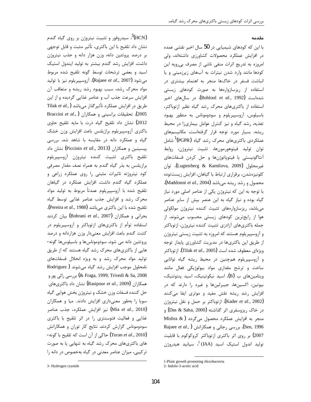#### مقدمه

با این که کودهای شیمیایی در 50 سال اخیر نقشی عمده در افزایش عملکرد محصولات کشاورزی داشتهاند، ولی امروزه به تدریج اثرات منفی ناشی از مصرف بی رویه این کودها مانند وارد شدن نیترات به آبهای زیرزمینی و یا انباشت فسفر در خاکها منجر به اهتمام بیشتری در استفاده از ریزسازوارهها به صورت کودهای زیستی شدهاست (Bohlool *et al*., 1992). در سالهای اخیر استفاده از باکتریهای محرک رشد گیاه نظیر ازتوباکتر، باسیلوس، آزوسپیریلوم و سودوموناس به منظور بهبود تغذیه، رشد گیاه و نیز کنترل عوامل بیماریزا در محیط ریشه، بسیار مورد توجه قرار گرفتهاست. مکانیسمهای عملکردی باکتریهای محرک رشد گیاه (PGPR<sup>) آ</sup>شامل توان توليد فيتوهورمونها، تثبيت نيتروژن، روابط آنتاگونیستی با فیتوپاتوژنها و حل کردن فسفاتهای غيرمحلول (Lugtenberg & Kamilova, 2009)، توان کلونیزهشدن، برقراری ارتباط با گیاهان، افزایش زیستتوده محصول و رشد ریشه میباشد (Maddonni *et al.*, 2004). با توجه به این که نیتروژن یکی از عناصر اصلی مورد نیاز گیاه بوده و نیاز گیاه به این عنصر بیش از سایر عناصر می باشد، ریزسازوارههای تثبیت کننده نیتروژن مولکولی هوا از رایجترین کودهای زیستی محسوب میشوند. از جمله باكترىهاى آزادزي تثبيت كننده نيتروژن، ازتوباكتر و آزوسپیریلوم هستند که امروزه به تثبیت زیستی نیتروژن از طریق این باکتریها در مدیریت کشاورزی پایدار توجه ويژەاي معطوف شده است (Tilak *et al.*, 2005). از توباكتر و آزوسپیریلوم همچنین در محیط ریشه گیاه توانایی ساخت و ترشح مقداری مواد بیولوژیکی فعال مانند ویتامینهای ب (B)، اسید نیکوتینیک، اسید پنتوتنیک، بیوتین، اکسینها، جیبرلینها و غیره را دارند که در افزایش رشد ریشه نقش مفید و موثری ایفا میکنند (Kader et al., 2002). ازتوباكتر بر حمل و نقل نيتروژن در خاک ریزوسفری اثر گذاشته (Das & Saha, 2000) و منجر به افزایش عملکرد محصول میگردد ( Mishra & Rajaee et al., ) بررسی رجائی و همکارانش (Rajaee et al., 2007) بر روی اثر باکتری ازتوباکتر کروکوکوم با قابلیت تولید اندول استیک اسید (IAA) <sup>2</sup>، سیانید هیدروژن

سیدروفور و تثبیت نیتروژن بر روی گیاه گندم)  ${}^{3}$ (HCN)

نشان داد تلقیح با این باکتری، تأثیر مثبت و قابل توجهی

بر درصد پروتئین دانه، وزن هزار دانه و جذب نیتروژن

داشت. افزایش رشد گندم بیشتر به تولید ایندول استیک

اسید و بعضی ترشحات توسط گونه تلقیح شده مربوط

مىشود (Rajaee *et al.*, 2007). آزوسپيريلوم نيز با توليد

مواد محرک رشد، سبب بهبود رشد ریشه و متعاقب آن

افزایش سرعت جذب آب و عناصر غذایی گردیده و از این

طريق در افزايش عملكرد تأثيرگذار مى باشد (,Tilak et al

Braccini et al.,) حقیقات براسینی و همکاران  $(2005)$ 

2012) نشان داد تلقيح گياه ذرت با مايه تلقيح حاوى

باكترى آزوسپيريلوم برازيلنس باعث افزايش وزن خشك

گیاه و عملکرد دانه در مقایسه با شاهد شد. بررسی

پیسینین و همکاران (Piccinin et al., 2013) نشان داد

تلقيح باكترى تثبيت كننده نيتروژن آزوسپيريلوم

برازیلنس به بذر گیاه گندم به همراه نصف مقدار مصرفی

کود نیتروژنه تاثیرات مثبتی را روی عملکرد زراعی و

عملکرد گیاه گندم داشت. افزایش عملکرد در گیاهان

تلقيح شده با آزوسپيريلوم عمدتاً مربوط به توليد مواد

محرک رشد و افزایش جذب عناصر غذایی توسط گیاه

تلقيح شده با اين باكترى مىباشد (Pereira *et al*., 1988).

بحرانی و همکاران (Bohrani et al., 2007) بیان کردند

استفاده توأم از باكترىهاى ازتوباكتر و آزوسپيريلوم در

کشت گندم باعث افزایش معنیدار وزن هزاردانه و درصد

پروتئین دانه می شود. سودوموناسها و باسیلوسها گونه-

هایی از باکتریهای محرک رشد گیاه هستند که از طریق

تولید مواد محرک رشد و به ویژه انحلال فسفاتهای

نامحلول موجب افزایش رشد گیاه می شوند ( Rodriguez

بررسي راثي پور و (& Fraga, 1999; Trivedi & Sa, 2008

همکاران (Rasipour *et al.*, 2009) نشان داد باکتریهای

حل كننده فسفات وزن خشك و نيتروژن بخش هوايي گياه

سویا را بهطور معنیداری افزایش دادند. میا و همکاران

(Mia et al., 2010) نيز افزايش عملكرد، جذب عناصر

غذایی و فعالیت فتوسنتزی را در اثر تلقیح با باکتری

سودوموناس گزارش كردند. نتايج كار توران و همكارانش

(Turan et al., 2010) حاكي از آن است كه تلقيح با گونه-

های باکتریهای محرک رشد گیاه به تنهایی یا به صورت

ترکیبی، میزان عناصر معدنی در گیاه بهخصوص در دانه را

<sup>3-</sup> Hydrogen cyanide

<sup>1-</sup>Plant growth promoting rhizobacteria 2- Indole-3-acetic acid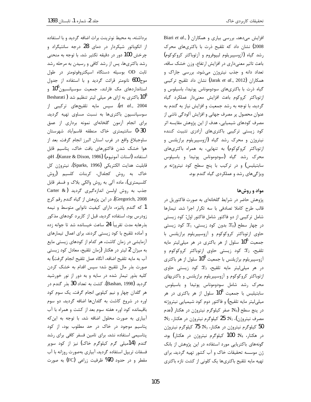برداشته، به محیط نوترینت براث اضافه گردید و با استفاده از انکوباتور شیکردار در دمای 28 درجه سانتیگراد و چرخش 100 دور در دقیقه تکثیر شد. با توجه به منحنی رشد باکتریها، پس از رشد کافی و رسیدن به مرحله رشد ثابت OD بوسیله دستگاه اسپکتروفوتومتر در طول موج600 نانومتر قرائت گردید و با استفاده از جدول استانداردهای مک فارلند، جمعیت سوسپانسیون10<sup>6</sup> و Besharati ) اکتری به ازای هر میلی لیتر تنظیم شد et al., 2004). سپس مایه تلقیحهای ترکیبی از سوسپانسیون باکتریها به نسبت مساوی تهیه گردید. برای انجام آزمون گلخانهای نمونه برداری از عمق 0-30 سانتيمتري خاك منطقه قاسمآباد شهرستان ساوجبلاغ واقع در غرب استان البرز انجام گرفت. بعد از هوا خشک شدن فاکتورهای بافت خاک، پتاسیم قابل استفاده (استات آمونيوم) (Kunze & Dixon, 1986)، pH، قابليت هدايت الكتريكي (Sparks, 1996)، نيتروژن كل خاک به روش کجلدال، کربنات کلسیم (روش کلسیمتری)، ماده آلی به روش والکی بلاک و فسفر قابل جذب به روش اولسن اندازهگیری گردید (Carter & Gregorich, 2008). در این پژوهش از گیاه گندم رقم کرج 1 که گندم پائیزه، دارای کیفیت نانوایی متوسط و نیمه زودرس بود، استفاده گردید. قبل از کاربرد کودهای مذکور بذرهابه مدت تقريباً 24 ساعت خيسانده شد تا جوانه زده و آماده تلقیح با کود زیستی گردند. برای اعمال تیمارهای آزمایشی در زمان کاشت، هر کدام از کودهای زیستی مایع به میزان 2 لیتر در هکتار (زمان تلقیح، معادل کود زیستی آب به مايه تلقيح اضافه، آنگاه عمل تلقيح انجام گرفت) به صورت بذر مال تلقیح شد؛ سپس اقدام به خشک کردن کلیه بذور تیمار شده در سایه و به دور از نور خورشید گردید (Bashan, 1998). کشت به تعداد 30 بذر گندم در هر گلدان چهار و نیم کیلویی انجام گرفت. یک سوم کود اوره در شروع كاشت به گلدانها اضافه گرديد. دو سوم باقیمانده کود اوره هفته سوم بعد از کشت و همراه با آب آبیاری به صورت محلول اضافه شد. با توجه به این که یتاسیم موجود در خاک در حد مطلوب بود، از کود پتاسیمی استفاده نشد. برای تامین فسفر کافی برای رشد گندم (14میلی گرم کیلوگرم خاک) نیز از کود سوپر فسفات ترییل استفاده گردید. آبیاری بهصورت روزانه با آب مقطر و در حدود 70% ظرفیت زراعی (FC) به صورت

رشد گیاه (آزوسپیریلوم لیپوفروم و آزتوباکتر کروکوکوم) باعث تاثیر معنیداری در افزایش ارتفاع، وزن خشک ساقه، تعداد دانه و جذب نیتروژن میشود. بررسی جاراک و همکاران (Jarak *et al.*, 2012) نشان داد تلقیح ترکیبی گیاه ذرت با باکتریهای سودوموناس پوتیدا، باسیلوس و ازتوباكتر كروكوم باعث افزايش معنىدار عملكرد كياه گردید. با توجه به رشد جمعیت و افزایش نیاز به گندم به عنوان محصول پر مصرف جهانی و افزایش آلودگی ناشی از مصرف کودهای شیمیایی، هدف از این پژوهش مقایسه اثر کود زیستی ترکیبی باکتریهای آزادزی تثبیت کننده نیتروژن و محرک رشد گیاه (آزوسپیریلوم برازیلنس و ازتوباکتر کروکوکوم) به تنهایی، به همراه باکتریهای محرک رشد گیاه (سودوموناس پوتیدا و باسیلوس سابتیلیس) و در ترکیب با پنج سطح کود نیتروژنه بر ویژگی های رشد و عملکردی گیاه گندم بود.

Biari et al., ) افزایش میدهد. بررسی بیاری و همکاران

2008) نشان داد که تلقیح ذرت با باکتریهای محرک

## مواد و روشها

پژوهش حاضر در شرایط گلخانهای به صورت فاکتوریل در قالب طرح كاملا تصادفى با سه تكرار اجرا شد. تيمارها شامل ترکیبی از دو فاکتور شامل فاکتور اول: کود زیستی  $_{\rm c}$ در چهار سطح  $_{\rm 0}$ : بدون کود زیستی،  $_{\rm T_1}$ : کود زیستی حاوی ازتوباکتر کروکوکوم و آزوسپیریلوم برازیلنس با جمعیت 10<sup>6</sup> سلول از هر باکتری در هر میلی لیتر مایه تلقیح،  $T_2$ : کود زیستی حاوی ازتوباکتر کروکوکوم و آزوسپیریلوم برازیلنس با جمعیت  $10^8$  سلول از هر باکتری  $c_0$ در هر میلی لیتر مایه تلقیح،  $T_3$ : کود زیستی حاوی ازتوباکتر کروکوکوم و آزوسپیریلوم برازیلنس و باکتریهای .<br>محرک رشد شامل سودوموناس پوتیدا و باسیلوس سابتیلیس با جمعیت 10<sup>8</sup> سلول از هر باکتری در هر میلی لیتر مایه تلقیح) و فاکتور دوم کود شیمیایی نیتروژنه در پنج سطح (N<sub>0</sub>: صفر کیلوگرم نیتروژن در هکتار (عدم : مصرف نيتروژن)،  $\rm N_{1}$ : 25 كيلوگرم نيتروژن در هكتار،  $\rm N_{2}$ : 50 كيلوگرم نيتروژن در هكتار، 75: 75 كيلوگرم نيتروژن  $50$ در هکتار، %: 100 کیلوگرم نیتروژن در هکتار) بود. گونههای باکتریایی مورد استفاده در این پژوهش از بانک ژن موسسه تحقیقات خاک و آب کشور تهیه گردید. برای تهیه مایه تلقیح باکتریها یک کلونی از کشت تازه باکتری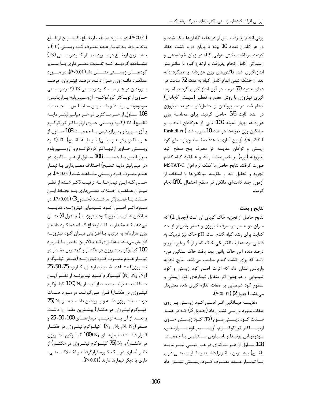وزنی انجام پذیرفت. پس از دو هفته گلدانها تنک شده و در هر گلدان تعداد 10 بوته تا پایان دوره کشت حفظ گردید. برداشت بخش هوایی گیاه در زمان خوشهدهی و رسیدگی کامل انجام پذیرفت و ارتفاع گیاه با سانتی متر اندازهگیری شد. فاکتورهای وزن هزاردانه و عملکرد دانه بعد از خشک شدن اندام کامل گیاه به مدت 72 ساعت در دمای حدود 70 درجه در آون اندازهگیری گردید. اندازه-گیری نیتروژن با روش هضم و تقطیر (سیستم کجلدال) انجام شد. درصد پروتئین از حاصل ضرب درصد نیتروژن در عدد ثابت 5/6 حاصل گردید. برای محاسبه وزن هزاردانه، چهار نمونه 100 تایی از هرگلدان انتخاب و میانگین وزن نمونهها در عدد 10 ضرب شد (Rashidi et al., 2011). آزمون آماری با هدف مقایسه چهار سطح کود زيستي و توأمان مقايسه اثر مصرف ينج سطح كود نیتروژنه (اوره) بر خصوصیات رشد و عملکرد گیاه گندم صورت گرفت. نتايج حاصل با كمك نرم افزار MSTAT-C تجزیه و تحلیل شد و مقایسه میانگینها با استفاده از آزمون چند دامنهای دانکن در سطح احتمال 0/01انجام گر فت.

## نتايج و بحث

نتايج حاصل از تجزيه خاک گوياي آن است (جدول 1) که میزان دو عنصر پرمصرف نیتروژن و فسفر پائینتر از حد کفایت برای رشد گیاه گندم است. pH خاک نیز نزدیک به قلیایی بود. هدایت الکتریکی خاک کمتر از 4 و غیر شور و درصد ماده آلی خاک پائین بود. بافت خاک سنگین می-باشد که برای کشت گندم مناسب می باشد. نتایج تجزیه واریانس نشان داد که اثرات اصلی کود زیستی و کود شیمیایی و همچنین اثر متقابل تیمارهای کود زیستی و سطوح کود شیمیایی بر صفات اندازه گیری شده معنیدار  $(P<0.01)$  (2 (جدول) (2)

مقایسه میانگین اثر اصلی کود زیستی بر روی صفات مـورد بررسـي نشـان داد (جـدول 3) كـه در همـه صــفات كــود زيســتي ســوم (T3: كــود زيســتي حــاوي ازتوبــــاكتر كروكوكــــوم، آزوســـــپيريلوم بــــرازيلنس، سودوموناس پوتیدا و باسیلوس سابتیلیس با جمعیت 108 سلول از هـر بـاكترى در هـر ميلــى ليتــر مايــه تلقـیح) بیشـترین تـاثیر را داشـته و تفـاوت معنـی داری بـا تيمــار عــدم مصــرف كــود زيســتى نشــان داد

(P<0.01). در مسورد صـــفت ارتفـــاع، كمتـــرين ارتفـــاع بوته مربوط بــه تيمــار عــدم مصــرف كــود زيســتي (T0) و بیشــترین ارتفــاع در مــورد تیمــار کــود زیســتی (T3) مشــاهده گرديــد كــه تفــاوت معنـــىدارى بــا ســـاير کودهــای زیســـتی نشــان داد (0.01). در مــورد عملکـرد دانـه، وزن هـزار دانـه، درصـد نيتـروژن، درصـد پــروتئين در هــر ســه كــود زيســتي T3 (كــود زيســتي حـاوي ازتوبــاكتر كروكوكــوم، آزوســپيريلوم بــرازيلنيس، سودوموناس پوتيـدا و باسـيلوس سـابتيليس بـا جمعيـت 108 سـلول از هـر بـاكترى در هـر ميلــىليتـر مايــه تلقـيح)، T2 (كــود زيســتي حــاوي از توبــاكتر كروكوكــوم و آزوســييريلوم بــرازيلنيس بــا جمعيــت 108 ســلول از هـر بـاكترى در هـر ميلـىليتـر مايـه تلقـيح)، T1 (كـود زیستی حــاوی ازتوبــاکتر کروکوکــوم و آزوســپیریلوم بـرازيلنيس بــا جمعيــت 108 ســلول از هــر بــاكترى در هر میلی لیتر مایــه تلقـیح) اخــتلاف معنــیداری بــا تیمــار عـدم مصـرف كــود زيســتى مشــاهده شــد (P<0.01). در حـالی کـه ایـن تیمارهـا بـه ترتیـب ذکـر شـده از نظـر میـزان عملكــرد اخــتلاف معنــىدارى بــه لحــاظ ايــن صفت بــا همــديگر نداشــتند (جــدول3) (P>0.01). در مــورد اثــر اصــلى كــود شــيميايي نيتروژنــه، مقايســه ميانگين هـاي سـطوح كـود نيتروژنـه (جـدول 4) نشـان می دهد کـه مقـدار صـفات ارتفـاع گیـاه، عملکـرد دانـه و وزن هزاردانه به ترتیب بـا افـزایش میـزان کـود نیتروژنـه افزایش مییابد، بهطوری که بالاترین مقدار با کاربرد 100 کیلـوگرم نیتـروژن در هکتـار و کمتـرین مقـدار در تيمــار عــدم مصــرف كــود نيتروژنــه (صــفر كيلــوگرم نيتروژن) مشاهده شد. تيمارهاي كاربرد 75، 50، 25 کیلــوگرم کــود نیتروژنـــه از نظــر ایـــن (N $_{1}$  ,N $_{2}$  ,N $_{3})$ صفات به ترتيب بعد از تيمار N<sub>4</sub> (100 كيلوكرم نیتـروژن در هکتــار) قــرار مــیگیرنــد. در مــورد صــفات  $75$  درصـد نيتـروژن دانـه و پـروتئين دانـه تيمـار N3 کیلوگرم نیتروژن در هکتـار) بیشـترین مقـدار را داشـت و بعــد از آن بـــه ترتيــب تيمارهــاي 100، 50، 25 و صفر (N<sub>1 ,</sub>N<sub>2</sub> ,N<sub>4</sub> N<sub>0</sub>) كيلـوگرم نيتـروژن در هكتــار قـرار داشــتند. تيمارهــاي N<sub>4</sub> (100 كيلــوگرم نيتــروژن در هکتــار) و N3 (75 کیلــوگرم نیتــروژن در هکتــار) از نظر آماری در یک گروه قرارگرفتـه و اخـتلاف معنـی- $(P>0.01)$  داری با دیگر تیمارها دارند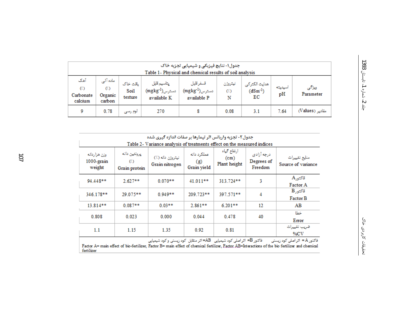| جدول١- نتايج فيزيكي و شيميايي تجزيه خاک<br>Table 1- Physical and chemical results of soil analysis |                                      |                             |                                                        |                                                 |                     |                                     |               |                    |
|----------------------------------------------------------------------------------------------------|--------------------------------------|-----------------------------|--------------------------------------------------------|-------------------------------------------------|---------------------|-------------------------------------|---------------|--------------------|
| آهک<br>$\langle \langle \cdot \rangle$<br>Carbonate<br>calcium                                     | ماده آلی<br>(1)<br>Organic<br>carbon | باقت خاک<br>Soi1<br>texture | يتاسيم قايل<br>$(\rm{mgkg^{-1}})$ دسترس<br>available K | قسفر قايل<br>$(mgkg^{-1})$ دسترس<br>available P | نيتروژن<br>(1)<br>N | هدايت الكتركى<br>$(dSm^{-1})$<br>ЕC | اسيديته<br>pH | ويژگى<br>Parameter |
| 9                                                                                                  | 0.78                                 | لوم رسی                     | 270                                                    |                                                 | 0.08                | 3.1                                 | 7.64          | مقادیر (Values)    |

| جدول۲- تجزیه واریانس اثر تیمارها بر صفات اندازه گیری شده                                                  |                                                                         |                                    |                                   |                                                  |                                     |                                     |  |
|-----------------------------------------------------------------------------------------------------------|-------------------------------------------------------------------------|------------------------------------|-----------------------------------|--------------------------------------------------|-------------------------------------|-------------------------------------|--|
|                                                                                                           | Table 2- Variance analysis of treatments effect on the measured indices |                                    |                                   |                                                  |                                     |                                     |  |
| وزن هزاردانه<br>1000-grain<br>weight                                                                      | يروتئين دانه<br>(1)<br>Grain protein                                    | نيتروژن دانه (٪)<br>Grain nitrogen | عملكرد دانه<br>(g)<br>Grain yield | ارتفاع گیاه<br>(c <sub>m</sub> )<br>Plant height | درجه آزادی<br>Degrees of<br>Freedom | منايع تغييرات<br>Source of variance |  |
| 94.448**                                                                                                  | $2.627**$                                                               | $0.070**$                          | 41.011**                          | 313.724**                                        | 3                                   | قاكتورA<br>Factor A                 |  |
| 346.178**                                                                                                 | $29.075**$                                                              | $0.949**$                          | 209.723**                         | 397.571**                                        | 4                                   | قاكتورB<br>Factor B                 |  |
| $13.814**$                                                                                                | $0.087**$                                                               | $0.03***$                          | $2.861**$                         | $6.201**$                                        | 12                                  | AB                                  |  |
| 0.808                                                                                                     | 0.023                                                                   | 0.000                              | 0.044                             | 0.478                                            | 40                                  | خطا<br>Error                        |  |
| 1.1                                                                                                       | 1.15                                                                    | 1.35                               | 0.92                              | 0.81                                             |                                     | ضريب تغييرات<br>$\%$ CV             |  |
| فاکتور B= اثر اصلی کود شیمیایی   AB= اثر متقابل  کود زیستی و کود شیمیایی<br>فاكتور A = اثر اصلى كود زيستى |                                                                         |                                    |                                   |                                                  |                                     |                                     |  |

Factor A= main effect of bio-fertilizer, Factor B= main effect of chemical fertilizer, Factor AB=Interactions of the bio fertilizer and chemical fertilizer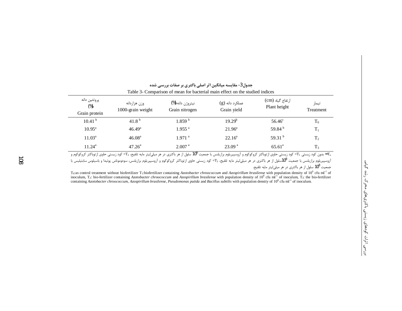| Table 3- Comparison of mean for bacterial main effect on the studied indices |                                   |                                    |                                |                                  |                    |  |
|------------------------------------------------------------------------------|-----------------------------------|------------------------------------|--------------------------------|----------------------------------|--------------------|--|
| پروتئين دانه<br>$(\%)$<br>Grain protein                                      | وزن هزاردانه<br>1000-grain weight | نيتروژن دانه (%)<br>Grain nitrogen | عملکرد دانه (g)<br>Grain yield | ارتفاع گیاه (cm)<br>Plant height | تيمار<br>Treatment |  |
| 10.41 <sup>b</sup>                                                           | 41.8 <sup>b</sup>                 | 1.859 <sup>b</sup>                 | $19.29^{b}$                    | $56.46^{\circ}$                  | $T_0$              |  |
| $10.95^{\text{a}}$                                                           | $46.49^{\circ}$                   | $1.955$ <sup>a</sup>               | $21.96^{\circ}$                | 59.84 <sup>b</sup>               | $T_1$              |  |
| $11.03^a$                                                                    | 46.08 <sup>a</sup>                | $1.971$ <sup>a</sup>               | $22.16^a$                      | 59.31 $^{\rm b}$                 | T <sub>2</sub>     |  |
| $11.24^a$                                                                    | $47.26^{\circ}$                   | 2.007 <sup>a</sup>                 | 23.09 <sup>a</sup>             | $65.61^{\circ}$                  | $T_3$              |  |

جدول3- مقایسه میانگین اثر اصلی باکتری بر صفات بررسی شده

-T<sub>e</sub> بدون کود زیستی F1= کود زیستی حاوی ازتوباکتر کروکوکوم و آزوسپیریلوم برازیلنس با جمعیت 10<sup>6</sup> سلول از هر باکتری در هر میلیلیتر مایه تلقیح، F2= کود زیستی حاوی ازتوباکتر کروکوکوم و A= آزوسپیریلوم برازیلنس با جمعیت 10<sup>8</sup>سلول از هر باکتری در هر میلیایتر مایه تلقیح، دT= کود زیستی طور کوکوم و آزوسپیریلوم برازیلنس، سودوموناس پوتیدا و باسیلوس سابتیلیس با جمعیت 10<sup>8</sup> سلول از هر باکتری در هر میلیلیتر مایه تلقیح.

 $T_0$ : as control treatment without biofertilizer  $T_1$ : biofertilizer containing Azotobacter chroococcum and Azospirillum brasilense with population density of 10<sup>6</sup> cfu ml<sup>-1</sup> of inoculum, T<sub>3</sub>: bio-fertilizer containing Azotobacter chroococcum and Azospirillum brasilense with population density of 10<sup>8</sup> cfu mi<sup>-1</sup> of inoculum, T<sub>3</sub>: the bio-fertilizer containing Azotobacter chroococcum, Azospirillum brasilense, Pseudomonas putida and Bacillus subtilis with population density of 10<sup>8</sup> cfu ml<sup>-1</sup> of inoculum.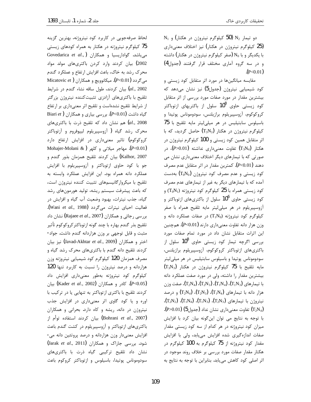$N_1$  دو تیمار  $N_2$  (50 کیلوگرم نیتروژن در هکتار) و (25 کیلوگرم نیتروژن در هکتار) نیز اختلاف معنیداری با یکدیگر و با N<sub>0</sub> (صفر کیلوگرم نیتروژن در هکتار) داشته و در سه گروه آماری مختلف قرار گرفتند (جدول4)  $(P<0.01)$ 

مقایسه میانگینها در مورد اثر متقابل کود زیستی و کود شیمیایی نیتروژن (جدول5) نیز نشان میدهد که بیشترین مقدار در مورد صفات مورد بررسی از اثر متقابل کود زیستی حاوی  $10^8$  سلول از باکتریهای ازتوباکتر كروكوكوم، آزوسپيريلوم برازيلنس، سودوموناس پوتيدا و باسیلوس سابتیلیس در هر میلی لیتر مایه تلقیح با 75 کیلوگرم نیتروژن در هکتار  $(T_3N_3)$  حاصل گردید، که با اثر متقابل همین کود زیستی و 100 کیلوگرم نیتروژن در هکتار (T3N4) تفاوت معنی داری نداشته (P>0.01)، در صورتی که با تیمارهای دیگر اختلاف معنیداری نشان می دهند (0.01)-C/). كمترين مقدار در اثر متقابل عدم مصرف کود زیستی و عدم مصرف کود نیتروژن  $\left(T_{0}\mathrm{N}_{0}\right)$  بهدست آمده که با تیمارهای دیگر به غیر از تیمارهای عدم مصرف کود زیستی همراه با 25 کیلوگرم کود نیتروژنه ( $T_0$ ) و کود زیستی حاوی 10<sup>6</sup> سلول از باکتریهای ازتوباکتر و آزوسپیریلوم در هر میلی لیتر مایه تلقیح همراه با صفر کیلوگرم کود نیتروژنه (T1N0) در صفات عملکرد دانه و وزن هزار دانه تفاوت معنیداری دارند (P<0.01). همچنین این اثرات متقابل نشان داد در مورد تمام صفات مورد بررسی اگرچه تیمار کود زیستی حاوی  $10^8$  سلول از باكترى هاى ازتوباكتر كروكوكوم، آزوسپيريلوم برازيلنس، سودوموناس پوتیدا و باسیلوس سابتیلیس در هر میلی لیتر مايه تلقيح با 75 كيلوكرم نيتروژن در هكتار (T3N3) بیشترین مقدار را داشته، ولی در مورد صفت عملکرد دانه با تيمارهاي  $(\mathrm{T_{1}N_{4}})$ ،  $(\mathrm{T_{2}N_{3}})$ ،  $(\mathrm{T_{1}N_{4}})$ ، صفت وزن هزار دانه با تیمارهای  $(\mathrm{T}_1\mathrm{N}_3)$ ،  $(\mathrm{T}_2\mathrm{N}_3)$ ،  $(\mathrm{T}_2\mathrm{N}_4)$  و درصد  $(T_2N_2)$  ( $T_1N_4$ )،  $(T_1N_3)$ ،  $(T_2N_3)$ ،  $(T_2N_4)$ ، نيتروژن با تيمارهاي ( (P>0.01) ( $\rm{P}$ تفاوت معنىدارى نشان نداد (جدول $\rm{D}$  (P). با توجه به نتايج مي توان اين گونه بيان كرد با افزايش میزان کود نیتروژنه در هر کدام از سه کود زیستی مقدار صفات اندازهگیری شده افزایش می یابد، ولی با افزایش مقدار کود نیتروژنه از 75 کیلوگرم به 100 کیلوگرم در هکتار مقدار صفات مورد بررسی بر خلاف روند موجود در اثر اصلی کود کاهش میبابد. بنابراین با توجه به نتایج به

لحاظ صرفهجویی در کاربرد کود نیتروژنه، بهترین گزینه 75 کیلوگرم نیتروژنه در هکتار به همراه کودهای زیستی Govedarica et al., ) میباشد. گواداریسیا و همکاران 2002) بیان کردند وارد کردن باکتریهای مولد مواد محرک رشد به خاک، باعث افزایش ارتفاع و عملکرد گندم Micatovic et) ). میکانوویچ و همکاران Micatovic et) al., 2002) بيان كردند، طول ساقه نشاء گندم در شرايط تلقیح با باکتریهای آزادزی تثبیتکننده نیتروژن بزرگتر از شرایط تلقیح نشدهاست و تلقیح اثر معنیداری بر ارتفاع Biari et) (P<0.01). بررسی بیاری و همکاران Biari et) هم نشان داد که تلقیح ذرت با باکتریهای (dl., 2008 محرک رشد گیاه ( آزوسپیریلوم لیپوفروم و آزتوباکتر کروکوکوم) تاثیر معنیداری در افزایش ارتفاع دارد Mohajer-Molani & ) مهاجر میلانی و کلهر Mohajer-Molani & ) Kalhor, 2007) بيان كردند تلقيح همزمان بذور گندم و جو با کود حاوی ازتوباکتر و آزوسپیریلوم با افزایش عملکرد دانه همراه بود. این افزایش عملکرد وابسته به تلقيح با ميكروار گانيسمهاى تثبيت كننده نيتروژن است، که باعث پیشرفت سیستم ریشه، تولید هورمونهای رشد گیاه، جذب نیترات، بهبود وضعیت آب گیاه و افزایش در فعاليت احياى نيترات مى گردد (Wani et al., 1988). نشان داد (Rajaee *et al.*, 2007) بررسی رجائی و همکاران تلقيح بذر گندم بهاره با چند گونه ازتوباكتر كروكوكوم تأثير مثبت و قابل توجهي بر وزن هزاردانه گندم داشت. جواد-اختر و همكاران (Javad-Akhtar et al., 2009) نيز بيان کردند تلقیح دانه گندم با باکتریهای محرک رشد گیاه و مصرف همزمان 120 کیلوگرم کود شیمیایی نیتروژنه وزن هزاردانه و درصد نیتروژن را نسبت به کاربرد تنها 120 کیلوگرم کود نیتروژنه بهطور معنیداری افزایش داد (P<0.05). كادر و همكاران (Kader et al., 2002) بيان کردند تلقیح با باکتری ازتوباکتر به تنهایی یا در ترکیب با اوره و یا کود گاوی اثر معنیداری در افزایش جذب نیتروژن در دانه، ریشه و کاه دارد. بحرانی و همکاران (Bohrani et al., 2007) بيان كردند استفاده توأم از باکتریهای ازتوباکتر و آزوسپیریلوم در کشت گندم باعث افزایش معنیدار وزن هزاردانه و درصد پروتئین دانه می-شود. بررسی جاراک و همکاران (Jarak et al., 2011) نشان داد تلقیح ترکیبی گیاه ذرت با باکتریهای سودوموناس يوتيدا، باسيلوس و ازتوباكتر كروكوم باعث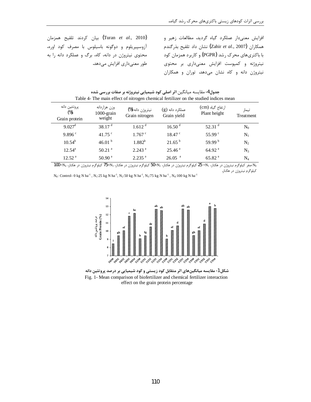(Turan et al., 2010) بيان كردند تلقيح همزمان آزوسپیریلوم و دوگونه باسیلوس با مصرف کود اوره، محتوی نیتروژن در دانه، کاه، برگ و عملکرد دانه را به طور معنیداری افزایش میدهد.

افزایش معنیدار عملکرد گیاه گردید. مطالعات زهیر و همكاران (Zahir et al., 2007) نشان داد تلقيح بذرگندم با باکتریهای محرک رشد (PGPR) و کاربرد همزمان کود نیتروژنه و کمپوست افزایش معنیداری بر محتوی نیتروژن دانه و کاه نشان میدهد. توران و همکاران

| پروتئين دانه<br>ارتفاع گياه (cm)<br>وزن هزاردانه<br>نيتروژن دانه (%)<br>عملكرد دانه (g)<br>$(\%)$<br>1000-grain<br>Plant height<br>Grain yield<br>Grain nitrogen<br>weight<br>Grain protein | تيمار<br>Treatment |
|---------------------------------------------------------------------------------------------------------------------------------------------------------------------------------------------|--------------------|
| 38.17 <sup>d</sup><br>$9.027$ <sup>d</sup><br>52.31 $^d$<br>1.612 <sup>d</sup><br>16.50 <sup>d</sup>                                                                                        | $N_0$              |
| 41.75 $\degree$<br>55.99 <sup>c</sup><br>9.896 <sup>c</sup><br>$1.767$ $\degree$<br>$18.47$ $\degree$                                                                                       | $N_1$              |
| 46.01 $^{\rm b}$<br>$10.54^{b}$<br>21.65 <sup>b</sup><br>59.99 $^{\rm b}$<br>$1.882^{b}$                                                                                                    | N <sub>2</sub>     |
| $50.21$ <sup>a</sup><br>$12.54^{\circ}$<br>$2.243$ <sup>a</sup><br>25.46 <sup>a</sup><br>64.92 <sup>a</sup>                                                                                 | $N_3$              |
| 12.52 <sup>a</sup><br>2.235 <sup>a</sup><br>50.90 <sup>a</sup><br>$26.05$ <sup>a</sup><br>65.82 <sup>a</sup>                                                                                | $\rm N_4$          |

جدول4- مقایسه میانگین اثر اصلی کود شیمیایی نیتروژنه بر صفات بررسی شده

No صفر کیلوگرم نیتروژن در هکتار، 21= 25 کیلوگرم نیتروژن در هکتار، 25=50 کیلوگرم نیتروژن در هکتار، 75=77 کیلوگرم نیتروژن در هکتار، 74=100 کیلوگرم نیتروژن در هکتار.

N<sub>0</sub>: Control- 0 kg N ha<sup>-1</sup>, N<sub>1</sub>:25 kg N ha<sup>-1</sup>, N<sub>2</sub>:50 kg N ha<sup>-1</sup>, N<sub>3</sub>:75 kg N ha<sup>-1</sup>, N<sub>4</sub>:100 kg N ha<sup>-1</sup>



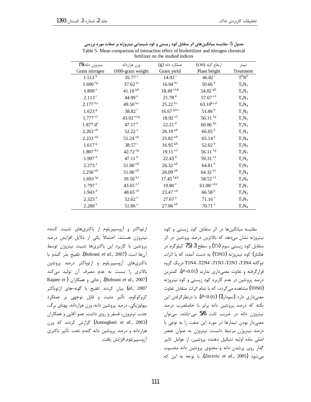| نيتروژن دانه (%)       | وزن هزاردانه           | عملکرد دانه (g)          | ارتفاع گیاه (cm)         | تيمار     |
|------------------------|------------------------|--------------------------|--------------------------|-----------|
| Grain nitrogen         | 1000-grain weight      | Grain yield              | Plant height             | Treatment |
| $1.513^{h}$            | $35.77^{\text{ j}}$    | $14.92 \frac{1}{1}$      | $46.82^{\rm i}$          | $T^0N^0$  |
| $1.690$ f.g            | $37.62$ <sup>i,j</sup> | $16.04 h^{,i}$           | 50.66 <sup>h</sup>       | $T_0N_1$  |
| 1.800 <sup>e</sup>     | $41.10^{ g,h}$         | $18.49$ <sup>e,f,g</sup> | 54.02 $\rm{g,h}$         | $T_0N_2$  |
| $2.113$ <sup>c</sup>   | 44.99 <sup>e</sup>     | $21.78$ <sup>d</sup>     | $57.67$ <sup>e,f</sup>   | $T_0N_3$  |
| $2.177^{ b,c}$         | 49.50 $b, c$           | $25.22^{ b,c}$           | $63.10^{b,c,d}$          | $T_0N_4$  |
| 1.623 <sup>g</sup>     | $38.82^{\text{ i}}$    | $16.67$ g,h,i            | 51.86 <sup>h</sup>       | $T_1N_0$  |
| $1.777$ <sup>e,f</sup> | 43.02 $^{\rm e,f,g}$   | $18.92$ <sup>e,f</sup>   | 56.11 $f, g$             | $T_1N_1$  |
| 1.877 d <sup>e</sup>   | 47.17 $d$              | $22.21$ <sup>d</sup>     | $60.06$ <sup>d,e</sup>   | $T_1N_2$  |
| $2.263^{a,b}$          | 52.22 <sup>a</sup>     | $26.19^{a,b}$            | $66.05^{b}$              | $T_1N_3$  |
| $2.233^{a,b}$          | $51.24$ <sup>a,b</sup> | $25.82^{a,b}$            | $65.14^{b}$              | $T_1N_4$  |
| 1.617 <sup> g</sup>    | $38.57^{\text{ i}}$    | $16.95$ g,h              | 52.02 <sup>h</sup>       | $T_2N_0$  |
| $1.807$ <sup>d,e</sup> | $42.72$ <sup>f,g</sup> | $19.11$ e,f              | 56.11 $f, g$             | $T_2N_1$  |
| 1.907 <sup>d</sup>     | 47.11 $^d$             | 22.43 <sup>d</sup>       | 59.31 $^{\rm e,f}$       | $T_2N_2$  |
| $2.273$ <sup>a</sup>   | $51.00^{a,b}$          | $26.32^{a,b}$            | $64.81h{b}$              | $T_2N_3$  |
| $2.250$ <sup>a,b</sup> | $51.00^{a,b}$          | $26.09^{a,b}$            | $64.32^{b,c}$            | $T_2N_4$  |
| $1.693$ f,g            | 39.50 $^{\rm h,i}$     | $17.45$ f,g,h            | $58.52$ <sup>e,f</sup>   | $T_3N_0$  |
| $1.797$ <sup>e</sup>   | 43.65 $^{\rm e,f}$     | 19.80 <sup>e</sup>       | $61.08$ <sup>c,d,e</sup> | $T_3N_1$  |
| $1.943$ <sup>d</sup>   | 48.65 $^{cd}$          | $23.47^{c,d}$            | 66.58 <sup>b</sup>       | $T_3N_2$  |
| 2.323 <sup>a</sup>     | 52.62 <sup>a</sup>     | $27.67$ <sup>a</sup>     | 71.16 <sup>a</sup>       | $T_3N_3$  |
| 2.280 <sup>a</sup>     | 51.86 <sup>a</sup>     | $27.06^{a,b}$            | $70.71$ <sup>a</sup>     | $T_3N_4$  |

جدول 5- مقایسه میانگینهای اثر متقابل کود زیستی و کود شیمیایی نیتروژنه بر صفات مورد بررسی Table 5- Mean comparison of interaction effect of biofertilizer and nitrogen chemical fertilizer on the studied indices

ازتوباکتر و آزوسیپریلوم از باکتریهای تثبیت کننده نیتروژن هستند، احتمالاً یکی از دلایل افزایش درصد پروتئین با کاربرد این باکتریها تثبیت نیتروژن توسط آنها است (Bohrani et al., 2007). تلقيح بذر كندم با .<br>باکتریهای آزوسییریلوم و ازتوباکتر درصد پروتئین بالاتری را نسبت به عدم مصرف آن تولید میکند Rajaee et) رجائی و همکاران. (Bohrani et al., 2007) al., 2007) بيان كردند تلقيح با گونه-هاى ازتوباكتر كروكوكوم، تأثير مثبت و قابل توجهي بر عملكرد بيولوژيكي، درصد پروتئين دانه، وزن هزاردانه، پهناي برگ، جذب نیتروژن، فسفر و روی داشت. عمو آقایی و همکاران (Amoaghaei et al., 2003) گزارش کردند که وزن هزاردانه و درصد پروتئین دانه گندم تحت تأثیر باکتری آزوسييريلوم افزايش يافت. مقایسه میانگینها در اثر متقابل کود زیستی و کود نیتروژنه نشان میدهد که بالاترین درصد پروتئین در اثر متقابل کود زیستی سوم (T3) و سطح 3 (75 کیلوگرم در هکتار) کود نیتروژنه (T3N3) به دست آمده، که با اثرات دوگانه T3N4 ،T2N4 ،T1N3 ،T2N3 ،T3N4 دريک گروه قرارگرفته و تفاوت معنی داری ندارند (P>0.01). کمترین درصد پروتئین در عدم کاربرد کود زیستی و کود نیتروژنه (TONO) مشاهده می گردد، که با تمام اثرات متقابل تفاوت معنیداری دارد (نمودار1) (P<0.01). با درنظرگرفتن این نکته که درصد پروتئین دانه برابر با حاصلضرب درصد نیتروژن دانه در ضریب ثابت 5/6 می-باشد، می توان معنیدار بودن تیمارها در مورد این صفت را به نوعی با درصد نیتروژن مرتبط دانست. نیتروژن به عنوان عنصر اصلی ماده اولیه تشکیل دهنده پروتئین، از عوامل تاثیر گذار روی پرشدن دانه و محتوی پروتئین دانه محسوب می شود (Zecevic *et al.*, 2005). با توجه به این که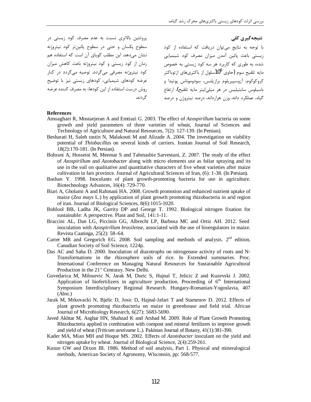یروتئین بالاتری نسبت به عدم مصرف کود زیستی در سطوح یکسان و حتی در سطوح پائینتر کود نیتروژنه نشان میدهد. این مطلب گویای آن است که استفاده هم زمان از کود زیستی و کود نیتروژنه باعث کاهش میزان کود نیتروژنه مصرفی میگردد. توصیه میگردد در کنار عرضه کودهای شیمیایی، کودهای زیستی نیز با توضیح روش درست استفاده از این کودها، به مصرف کننده عرضه گر دند.

نتیجەگیری کلی

با توجه به نتايج مى توان دريافت كه استفاده از كود زیستی باعث پائین آمدن میزان مصرف کود شیمیایی .<br>شده، به طوری که کاربرد هر سه کود زیستی به خصوص مایه تلقیح سوم (حاوی  $10^8$ سلول از باکتریهای ازتوباکتر كروكوكوم، آزوسپيريلوم برازيلنس، سودوموناس پوتيدا و باسیلوس سابتیلیس در هر میلی لیتر مایه تلقیح)، ارتفاع گیاه، عملکرد دانه، وزن هزاردانه، درصد نیتروژن و درصد

### **References**

- Amoaghaei R, Mostaejeran A and Emtiazi G. 2003. The effect of Azospirillum bacteria on some growth and yield parameters of three varieties of wheat, Journal of Sciences and Technology of Agriculture and Natural Resources, 7(2): 127-139. (In Persian).
- Besharati H, Saleh rastin N, Malakouti M and Alizade A. 2004. The investigation on viability potential of *Thiobacillus* on several kinds of carriers. Iranian Journal of Soil Research, 18(2):170-181. (In Persian).
- Bohrani A, Hosseini M, Meemar S and Tahmasbie Sarvestani, Z. 2007. The study of the effect of Azospirillum and Azotobacter along with micro elements use as foliar spraying and its use in the soil on qualitative and quantitative characters of five wheat varieties after maize cultivation in fars province. Journal of Agricultural Sciences of Iran, (6): 1-38. (In Persian).
- Bashan Y. 1998. Inoculants of plant growth-promoting bacteria for use in agriculture. Biotechnology Advances, 16(4): 729-770.
- Biari A, Gholami A and Rahmani HA. 2008. Growth promotion and enhanced nutrient uptake of maize (Zea mays L.) by application of plant growth promoting rhizobacteria in arid region of iran. Journal of Biological Sciences, 8(6):1015-1020.
- Bohlool BB, Ladha JK, Garrity DP and George T. 1992. Biological nitrogen fixation for sustainable: A perspective. Plant and Soil, 141:1-11.
- Braccini AL, Dan LG, Piccinin GG, Albrecht LP, Barbosa MC and Ortiz AH. 2012. Seed inoculation with *Azospirillum brasilense*, associated with the use of bioregulators in maize. Revista Caatinga, 25(2): 58–64.
- Carter MR and Gregorich EG. 2008. Soil sampling and methods of analysis.  $2<sup>nd</sup>$  edition, Canadian Society of Soil Science, 1224p.
- Das AC and Saha D. 2000. Inoculation of diazotrophs on nitrogenase activity of roots and N-Transformations in the rhizosphere soils of rice. In Extended summaries. Proc. International Conference on Managing Natural Resources for Sustainable Agricultural Production in the 21" Centuray. New Delhi.
- Govedarica M, Milosevic N, Jarak M, Duric S, Hajnal T, Jelicic Z and Kuzevski J. 2002. Application of biofertilizers in agriculture production. Proceeding of 6<sup>th</sup> International Symposium Interdisciplinary Regional Research. Hungary-Romanian-Yogoslavia, 407  $(Abst.)$
- Jarak M, Mrkovacki N, Bjelic D, Josic D, Hajnal-Jafari T and Stamenov D. 2012. Effects of plant growth promoting rhizobacteria on maize in greenhouse and field trial. African Journal of Microbiology Research, 6(27): 5683-5690.
- Javed Akhtar M, Asghar HN, Shahzad K and Arshad M. 2009. Role of Plant Growth Promoting Rhizobacteria applied in combination with compost and mineral fertilizers to improve growth and yield of wheat (Triticum aestivume L.). Pakistan Journal of Botany, 41(1):381-390.
- Kader MA, Mian MH and Hoque MS. 2002. Effects of Azotobacter inoculant on the yield and nitrogen uptake by wheat. Journal of Biological Science, 2(4):259-261.
- Kunze GW and Dixon JB. 1986. Method of soil analysis, Part 1. Physical and mineralogical methods, American Society of Agronomy, Wisconsin, pp: 568-577.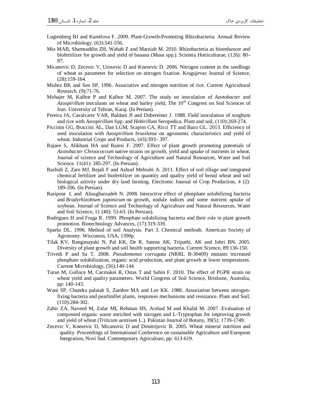- Lugtenberg BJ and Kamilova F. 2009. Plant-Growth-Promoting Rhizobacteria. Annual Review of Microbiology. (63):541-556.
- Mia MAB, Shamsuddin ZH, Wahab Z and Marziah M. 2010. Rhizobacteria as bioenhancer and biofertilizer for growth and yield of banana (*Musa* spp.). Scientia Horticulturae, (126): 80– 87.
- Micanovic D, Zecevic V, Urosevic D and Knezevic D. 2006. Nitrogen content in the seedlings of wheat as parameter for selection on nitrogen fixation. Kragujevac Journal of Science, (28):159-164.
- Mishra BK and Sen SP. 1996. Associative and nitrogen nutrition of rice. Current Agricultural Research. (9):71-76.
- Mohajer M, Kalhor P and Kalhor M. 2007. The study on inoculation of *Azotobacter* and *Azospirillum* inoculants on wheat and barley yield, The 10<sup>th</sup> Congress on Soil Sciences of Iran. University of Tehran, Karaj. (In Persian).
- Pereira JA, Cavalcarte VAR, Baldani JI and Dobereiner J. 1988. Field inoculation of sorghum and rice with *Azospirillum* Spp. and *Hebirillum* Seropedica. Plant and soil, (110):269-274.
- Piccinin GG, Braccini AL, Dan LGM, Scapim CA, Ricci TT and Bazo GL. 2013. Efficiency of seed inoculation with *Azospirillum brasilense* on agronomic characteristics and yield of wheat. Industrial Crops and Products, (43):393– 397.
- Rajaee S, Alikhani HA and Raiesi F. 2007. Effect of plant growth promoting potentials of *Azotobacter Chroococcum* native strains on growth, yield and uptake of nutrients in wheat. Journal of science and Technology of Agriculture and Natural Resources, Water and Soil Science. 11(41): 285-297. (In Persian).
- Rashidi Z, Zare MJ, Rejali F and Ashraf Mehrabi A. 2011. Effect of soil tillage and integrated chemical fertilizer and biofertilizer on quantity and quality yield of bread wheat and soil biological activity under dry land farming. Electronic Journal of Crop Production, 4 (2): 189-206. (In Persian).
- Rasipour L and Aliasgharzadeh N. 2008. Interactive effect of phosphate solubilizing bacteria and *Bradyrhizobium japonicum* on growth, nodule indices and some nutrient uptake of soybean. Journal of Science and Technology of Agriculture and Natural Resources, Water and Soil Science, 11 (40): 53-63. (In Persian).
- Rodriguez H and Fraga R. 1999. Phosphate solubilizing bacteria and their role in plant growth promotion. Biotechnology Advances, (17):319-339.
- Sparks DL. 1996. Method of soil Analysis. Part 3. Chemical methods. American Society of Agronomy. Wisconsin, USA, 1390p.
- Tilak KV, Ranganayaki N, Pal KK, De R, Satena AK, Tripathi, AK and Johri BN. 2005. Diversity of plant growth and soil health supporting bacteria. Current Science, 89:136-150.
- Trivedi P and Sa T. 2008. *Pseudomonas corrugata* (NRRL B-30409) mutants increased phosphate solubilization, organic acid production, and plant growth at lower temperatures. Current Microbiology, (56):140-144.
- Turan M, Gulluce M, Cacmakei R, Ostas T and Sahin F. 2010. The effect of PGPR strain on wheat yield and quality parameters. World Congress of Soil Science, Brisbane, Australia, pp: 140-143.
- Wani SP, Chandra palaiah S, Zambre MA and Lee KK. 1988. Association between nitrogenfixing bacteria and pearlmillet plants, responses mechanisms and resistance. Plant and Soil, (110):284-302.
- Zahir ZA, Naveed M, Zafar MI, Rehman HS, Arshad M and Khalid M. 2007. Evaluation of composted organic waste enriched with nitrogen and L-Tryptophan for improving growth and yield of wheat (*Triticum aestivum* L.). Pakistan Journal of Botany, 39(5): 1739-1749.
- Zecevic V, Knezevic D, Micanovic D and Dimitrijevic B. 2005. Wheat mineral nutrition and quality. Proceedings of International Conference on sustainable Agriculture and European Integration, Novi Sad. Contemporary Agriculture, pp: 613-619.